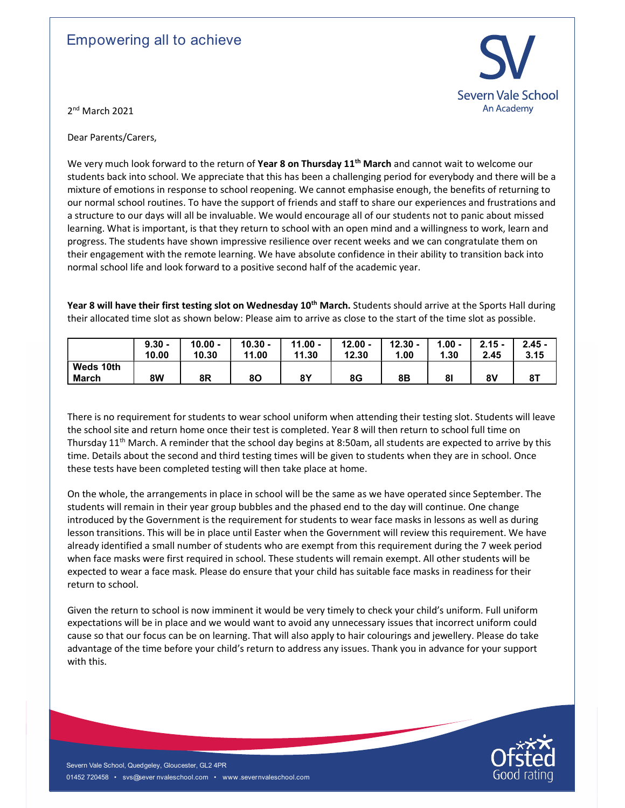## Empowering all to achieve



2<sup>nd</sup> March 2021

Dear Parents/Carers,

We very much look forward to the return of Year 8 on Thursday 11<sup>th</sup> March and cannot wait to welcome our students back into school. We appreciate that this has been a challenging period for everybody and there will be a mixture of emotions in response to school reopening. We cannot emphasise enough, the benefits of returning to our normal school routines. To have the support of friends and staff to share our experiences and frustrations and a structure to our days will all be invaluable. We would encourage all of our students not to panic about missed learning. What is important, is that they return to school with an open mind and a willingness to work, learn and progress. The students have shown impressive resilience over recent weeks and we can congratulate them on their engagement with the remote learning. We have absolute confidence in their ability to transition back into normal school life and look forward to a positive second half of the academic year.

Year 8 will have their first testing slot on Wednesday 10<sup>th</sup> March. Students should arrive at the Sports Hall during their allocated time slot as shown below: Please aim to arrive as close to the start of the time slot as possible.

|                           | $9.30 -$<br>10.00 | 10.00 -<br>10.30 | 10.30 -<br>1.00<br>44 | 11.00 -<br>11.30 | 12.00 -<br>12.30 | 12.30 -<br>1.00 | $1.00 -$<br>30.، | $2.15 -$<br>2.45 | $2.45 -$<br>3.15 |
|---------------------------|-------------------|------------------|-----------------------|------------------|------------------|-----------------|------------------|------------------|------------------|
| Weds 10th<br><b>March</b> | 8W                | 8R               | 80                    | 8Υ               | 8G               | 8B              | 81               | 8٧               | 8Τ               |

There is no requirement for students to wear school uniform when attending their testing slot. Students will leave the school site and return home once their test is completed. Year 8 will then return to school full time on Thursday 11<sup>th</sup> March. A reminder that the school day begins at 8:50am, all students are expected to arrive by this time. Details about the second and third testing times will be given to students when they are in school. Once these tests have been completed testing will then take place at home.

Note that the coveragnet is the requirement for students to wear face masks in lessons as well as during<br>introduced by the Government is the requirement for students to wear face masks in lessons as well as during<br>alread On the whole, the arrangements in place in school will be the same as we have operated since September. The students will remain in their year group bubbles and the phased end to the day will continue. One change introduced by the Government is the requirement for students to wear face masks in lessons as well as during lesson transitions. This will be in place until Easter when the Government will review this requirement. We have already identified a small number of students who are exempt from this requirement during the 7 week period when face masks were first required in school. These students will remain exempt. All other students will be expected to wear a face mask. Please do ensure that your child has suitable face masks in readiness for their return to school.

Given the return to school is now imminent it would be very timely to check your child's uniform. Full uniform expectations will be in place and we would want to avoid any unnecessary issues that incorrect uniform could cause so that our focus can be on learning. That will also apply to hair colourings and jewellery. Please do take advantage of the time before your child's return to address any issues. Thank you in advance for your support with this.